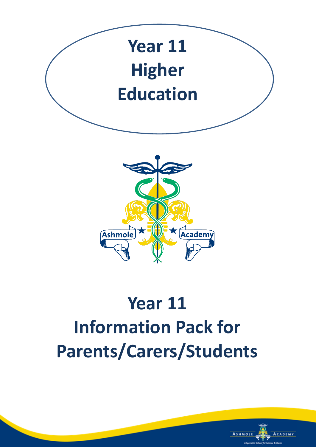



# **Year 11 Information Pack for Parents/Carers/Students**

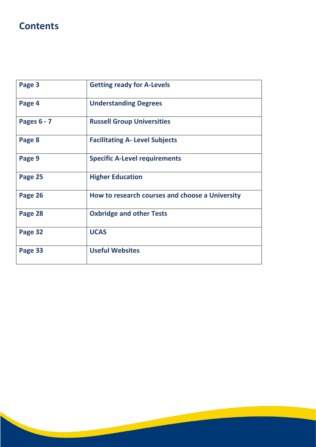# **Contents**

| Page 3             | <b>Getting ready for A-Levels</b>               |
|--------------------|-------------------------------------------------|
| Page 4             | <b>Understanding Degrees</b>                    |
| <b>Pages 6 - 7</b> | <b>Russell Group Universities</b>               |
| Page 8             | <b>Facilitating A- Level Subjects</b>           |
| Page 9             | <b>Specific A-Level requirements</b>            |
| Page 25            | <b>Higher Education</b>                         |
| Page 26            | How to research courses and choose a University |
| Page 28            | <b>Oxbridge and other Tests</b>                 |
| Page 32            | <b>UCAS</b>                                     |
| Page 33            | <b>Useful Websites</b>                          |

2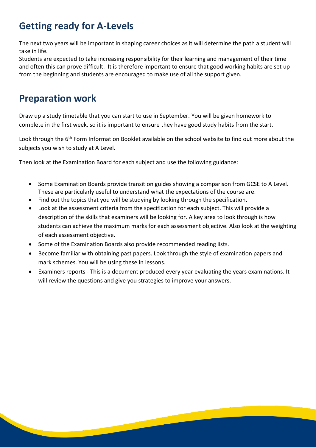# **Getting ready for A-Levels**

The next two years will be important in shaping career choices as it will determine the path a student will take in life.

Students are expected to take increasing responsibility for their learning and management of their time and often this can prove difficult. It is therefore important to ensure that good working habits are set up from the beginning and students are encouraged to make use of all the support given.

# **Preparation work**

Draw up a study timetable that you can start to use in September. You will be given homework to complete in the first week, so it is important to ensure they have good study habits from the start.

Look through the 6<sup>th</sup> Form Information Booklet available on the school website to find out more about the subjects you wish to study at A Level.

Then look at the Examination Board for each subject and use the following guidance:

- Some Examination Boards provide transition guides showing a comparison from GCSE to A Level. These are particularly useful to understand what the expectations of the course are.
- Find out the topics that you will be studying by looking through the specification.
- Look at the assessment criteria from the specification for each subject. This will provide a description of the skills that examiners will be looking for. A key area to look through is how students can achieve the maximum marks for each assessment objective. Also look at the weighting of each assessment objective.
- Some of the Examination Boards also provide recommended reading lists.
- Become familiar with obtaining past papers. Look through the style of examination papers and mark schemes. You will be using these in lessons.
- Examiners reports This is a document produced every year evaluating the years examinations. It will review the questions and give you strategies to improve your answers.

**Contract Contract Contract Contract Contract**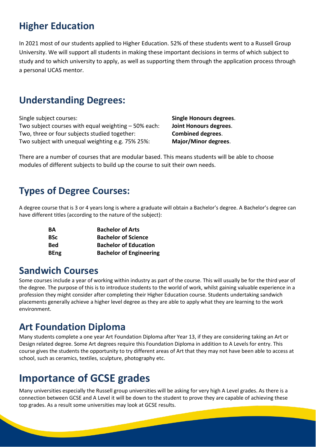# **Higher Education**

In 2021 most of our students applied to Higher Education. 52% of these students went to a Russell Group University. We will support all students in making these important decisions in terms of which subject to study and to which university to apply, as well as supporting them through the application process through a personal UCAS mentor.

# **Understanding Degrees:**

Single subject courses: **Single Honours degrees**. Two subject courses with equal weighting – 50% each: **Joint Honours degrees**. Two, three or four subjects studied together: **Combined degrees**. Two subject with unequal weighting e.g. 75% 25%: **Major/Minor degrees**.

There are a number of courses that are modular based. This means students will be able to choose modules of different subjects to build up the course to suit their own needs.

### **Types of Degree Courses:**

A degree course that is 3 or 4 years long is where a graduate will obtain a Bachelor's degree. A Bachelor's degree can have different titles (according to the nature of the subject):

| BA          | <b>Bachelor of Arts</b>        |
|-------------|--------------------------------|
| <b>BSc</b>  | <b>Bachelor of Science</b>     |
| <b>Bed</b>  | <b>Bachelor of Education</b>   |
| <b>BEng</b> | <b>Bachelor of Engineering</b> |

### **Sandwich Courses**

Some courses include a year of working within industry as part of the course. This will usually be for the third year of the degree. The purpose of this is to introduce students to the world of work, whilst gaining valuable experience in a profession they might consider after completing their Higher Education course. Students undertaking sandwich placements generally achieve a higher level degree as they are able to apply what they are learning to the work environment.

# **Art Foundation Diploma**

Many students complete a one year Art Foundation Diploma after Year 13, if they are considering taking an Art or Design related degree. Some Art degrees require this Foundation Diploma in addition to A Levels for entry. This course gives the students the opportunity to try different areas of Art that they may not have been able to access at school, such as ceramics, textiles, sculpture, photography etc.

# **Importance of GCSE grades**

Many universities especially the Russell group universities will be asking for very high A Level grades. As there is a connection between GCSE and A Level it will be down to the student to prove they are capable of achieving these top grades. As a result some universities may look at GCSE results.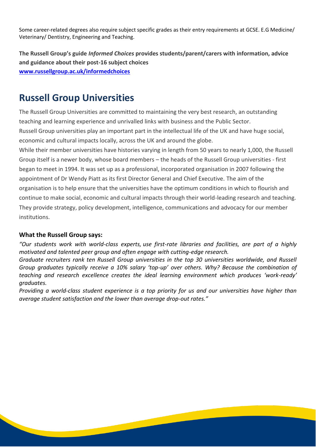Some career-related degrees also require subject specific grades as their entry requirements at GCSE. E.G Medicine/ Veterinary/ Dentistry, Engineering and Teaching.

**The Russell Group's guide** *Informed Choices* **provides students/parent/carers with information, advice and guidance about their post-16 subject choices [www.russellgroup.ac.uk/informedchoices](http://www.russellgroup.ac.uk/informedchoices)**

# **Russell Group Universities**

The Russell Group Universities are committed to maintaining the very best research, an outstanding teaching and learning experience and unrivalled links with business and the Public Sector. Russell Group universities play an important part in the intellectual life of the UK and have huge social,

economic and cultural impacts locally, across the UK and around the globe.

While their member universities have histories varying in length from 50 years to nearly 1,000, the Russell Group itself is a newer body, whose board members – the heads of the Russell Group universities - first began to meet in 1994. It was set up as a professional, incorporated organisation in 2007 following the appointment of Dr Wendy Piatt as its first Director General and Chief Executive. The aim of the organisation is to help ensure that the universities have the optimum conditions in which to flourish and continue to make social, economic and cultural impacts through their world-leading research and teaching. They provide strategy, policy development, intelligence, communications and advocacy for our member institutions.

### **What the Russell Group says:**

*"Our students work with world-class experts, use first-rate libraries and facilities, are part of a highly motivated and talented peer group and often engage with cutting-edge research.*

*Graduate recruiters rank ten Russell Group universities in the top 30 universities worldwide, and Russell Group graduates typically receive a 10% salary 'top-up' over others. Why? Because the combination of teaching and research excellence creates the ideal learning environment which produces 'work-ready' graduates.*

*Providing a world-class student experience is a top priority for us and our universities have higher than average student satisfaction and the lower than average drop-out rates."*

**Contract Contract Contract Contract Contract Contract Contract Contract Contract Contract Contract Contract Co**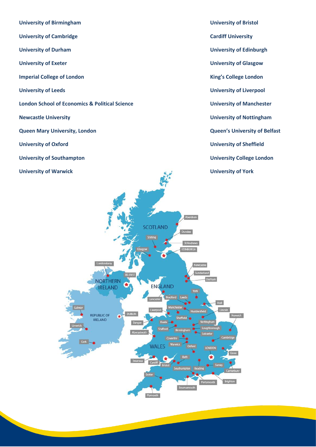**University of Birmingham University of Bristol University of Cambridge Cardiff University University of Durham University of Edinburgh University of Exeter Contract Contract Contract Contract Contract Contract Contract Contract Contract Contract Contract Contract Contract Contract Contract Contract Contract Contract Contract Contract Contract Contract Co Imperial College of London King's College London University of Leeds University of Liverpool London School of Economics & Political Science University of Manchester Newcastle University Newcastle University Newcastle University of Nottingham Queen Mary University, London Queen's University of Belfast University of Oxford University of Sheffield University of Southampton University College London University of Warwick University of York**

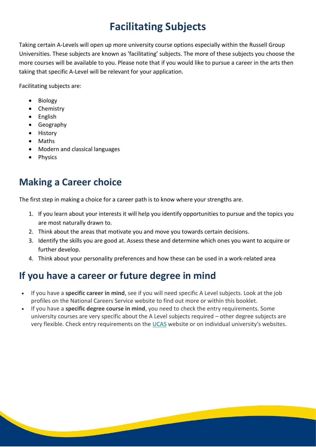# **Facilitating Subjects**

Taking certain A-Levels will open up more university course options especially within the Russell Group Universities. These subjects are known as 'facilitating' subjects. The more of these subjects you choose the more courses will be available to you. Please note that if you would like to pursue a career in the arts then taking that specific A-Level will be relevant for your application.

Facilitating subjects are:

- Biology
- Chemistry
- English
- Geography
- History
- Maths
- Modern and classical languages
- Physics

# **Making a Career choice**

The first step in making a choice for a career path is to know where your strengths are.

- 1. If you learn about your interests it will help you identify opportunities to pursue and the topics you are most naturally drawn to.
- 2. Think about the areas that motivate you and move you towards certain decisions.
- 3. Identify the skills you are good at. Assess these and determine which ones you want to acquire or further develop.
- 4. Think about your personality preferences and how these can be used in a work-related area

# **If you have a career or future degree in mind**

- If you have a **specific career in mind**, see if you will need specific A Level subjects. Look at the job profiles on the National Careers Service website to find out more or within this booklet.
- If you have a **specific degree course in mind**, you need to check the entry requirements. Some university courses are very specific about the A Level subjects required – other degree subjects are very flexible. Check entry requirements on the [UCAS](http://search.ucas.com/) website or on individual university's websites.

**Contract Contract Contract Contract Contract Contract Contract Contract Contract Contract Contract Contract Contract Contract Contract Contract Contract Contract Contract Contract Contract Contract Contract Contract Contr**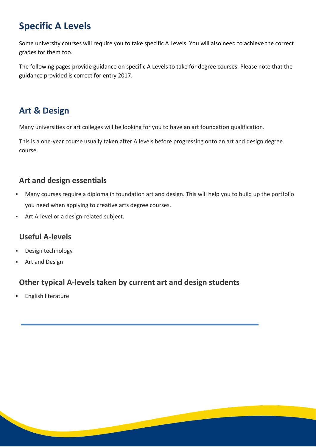# **Specific A Levels**

Some university courses will require you to take specific A Levels. You will also need to achieve the correct grades for them too.

The following pages provide guidance on specific A Levels to take for degree courses. Please note that the guidance provided is correct for entry 2017.

### **Art & Design**

Many universities or art colleges will be looking for you to have an art foundation qualification.

This is a one-year course usually taken after A levels before progressing onto an art and design degree course.

### **Art and design essentials**

Many courses require a diploma in foundation art and design. This will help you to build up the portfolio you need when applying to creative arts degree courses.

**Contract Contract Contract Contract Contract Contract Contract Contract Contract Contract Contract Contract Contract Contract Contract Contract Contract Contract Contract Contract Contract Contract Contract Contract Contr** 

8

Art A-level or a design-related subject.

### **Useful A-levels**

- Design technology
- Art and Design

### **Other typical A-levels taken by current art and design students**

**English literature**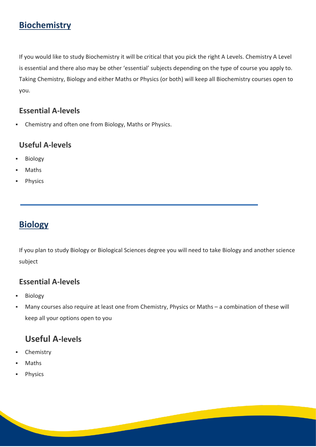### **Biochemistry**

If you would like to study Biochemistry it will be critical that you pick the right A Levels. Chemistry A Level is essential and there also may be other 'essential' subjects depending on the type of course you apply to. Taking Chemistry, Biology and either Maths or Physics (or both) will keep all Biochemistry courses open to you.

### **Essential A-levels**

**• Chemistry and often one from Biology, Maths or Physics.** 

### **Useful A-levels**

- **Biology**
- **Maths**
- **Physics**

### **Biology**

If you plan to study Biology or Biological Sciences degree you will need to take Biology and another science subject

### **Essential A-levels**

- **Biology**
- Many courses also require at least one from Chemistry, Physics or Maths a combination of these will keep all your options open to you

**Contract Contract Contract Contract Contract Contract Contract Contract Contract Contract Contract Contract Contract Contract Contract Contract Contract Contract Contract Contract Contract Contract Contract Contract Contr** 

9

### **Useful A-levels**

- Chemistry
- **Maths**
- **Physics**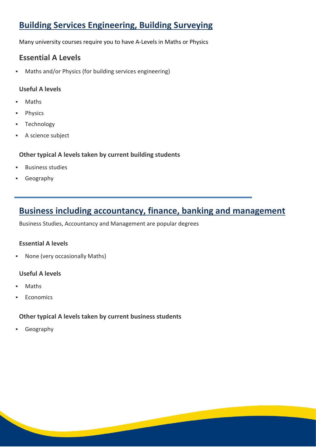### **Building Services Engineering, Building Surveying**

Many university courses require you to have A-Levels in Maths or Physics

### **Essential A Levels**

Maths and/or Physics (for building services engineering)

### **Useful A levels**

- **Maths**
- **Physics**
- **·** Technology
- A science subject

### **Other typical A levels taken by current building students**

- **Business studies**
- **Geography**

### **Business including accountancy, finance, banking and management**

<u> Samuel Barnett Started Barnett Started Barnett Started Barnett Started Barnett Started Barnett Started Barnett Started Barnett Started Barnett Started Barnett Started Barnett Started Barnett Started Barnett Started Barne</u>

10

Business Studies, Accountancy and Management are popular degrees

#### **Essential A levels**

None (very occasionally Maths)

#### **Useful A levels**

- **Maths**
- **Economics**

### **Other typical A levels taken by current business students**

**Geography**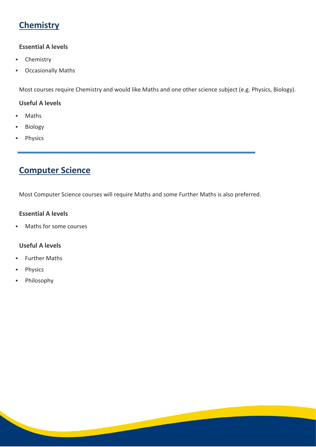### **Chemistry**

### **Essential A levels**

- Chemistry
- Occasionally Maths

Most courses require Chemistry and would like Maths and one other science subject (e.g. Physics, Biology).

### **Useful A levels**

- **Maths**
- **Biology**
- **Physics**

### **Computer Science**

Most Computer Science courses will require Maths and some Further Maths is also preferred.

<u> The Community of the Community of the Community of the Community of the Community of the Community of the Community of the Community of the Community of the Community of the Community of the Community of the Community of</u>

11

### **Essential A levels**

Maths for some courses

### **Useful A levels**

- Further Maths
- Physics
- Philosophy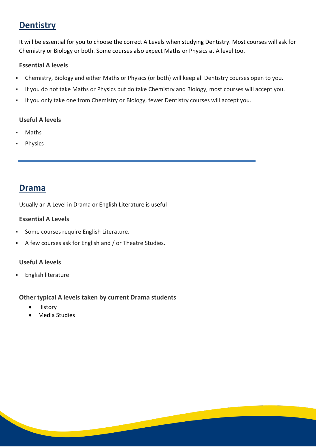### **Dentistry**

It will be essential for you to choose the correct A Levels when studying Dentistry. Most courses will ask for Chemistry or Biology or both. Some courses also expect Maths or Physics at A level too.

### **Essential A levels**

- Chemistry, Biology and either Maths or Physics (or both) will keep all Dentistry courses open to you.
- If you do not take Maths or Physics but do take Chemistry and Biology, most courses will accept you.

**Contract Contract Contract Contract Contract Contract Contract Contract Contract Contract Contract Contract Contract Contract Contract Contract Contract Contract Contract Contract Contract Contract Contract Contract Contr** 

12

▪ If you only take one from Chemistry or Biology, fewer Dentistry courses will accept you.

### **Useful A levels**

- **Maths**
- **Physics**

### **Drama**

Usually an A Level in Drama or English Literature is useful

#### **Essential A Levels**

- **•** Some courses require English Literature.
- A few courses ask for English and / or Theatre Studies.

### **Useful A levels**

▪ English literature

### **Other typical A levels taken by current Drama students**

- **History**
- Media Studies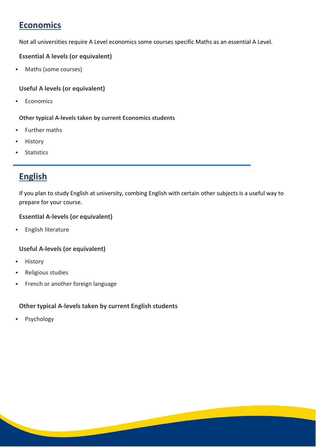### **Economics**

Not all universities require A Level economics some courses specific Maths as an essential A Level.

### **Essential A levels (or equivalent)**

Maths (some courses)

### **Useful A levels (or equivalent)**

**Economics** 

#### **Other typical A-levels taken by current Economics students**

- Further maths
- **History**
- **Statistics**

### **English**

If you plan to study English at university, combing English with certain other subjects is a useful way to prepare for your course.

<u> San Salaman Sala</u>

13

#### **Essential A-levels (or equivalent)**

**English literature** 

#### **Useful A-levels (or equivalent)**

- **History**
- Religious studies
- **•** French or another foreign language

#### **Other typical A-levels taken by current English students**

Psychology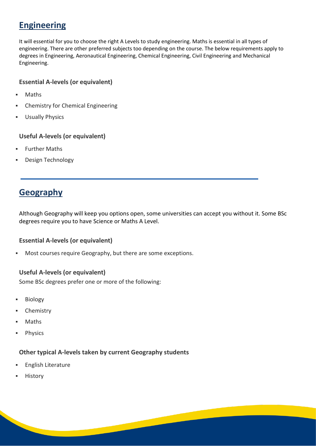### **Engineering**

It will essential for you to choose the right A Levels to study engineering. Maths is essential in all types of engineering. There are other preferred subjects too depending on the course. The below requirements apply to degrees in Engineering, Aeronautical Engineering, Chemical Engineering, Civil Engineering and Mechanical Engineering.

### **Essential A-levels (or equivalent)**

- **Maths**
- Chemistry for Chemical Engineering
- **■** Usually Physics

### **Useful A-levels (or equivalent)**

- **Further Maths**
- **Design Technology**

### **Geography**

Although Geography will keep you options open, some universities can accept you without it. Some BSc degrees require you to have Science or Maths A Level.

**Contract Contract Contract Contract Contract Contract Contract Contract Contract Contract Contract Contract Contract Contract Contract Contract Contract Contract Contract Contract Contract Contract Contract Contract Contr** 

14

#### **Essential A-levels (or equivalent)**

Most courses require Geography, but there are some exceptions.

### **Useful A-levels (or equivalent)**

Some BSc degrees prefer one or more of the following:

- **Biology**
- **•** Chemistry
- **Maths**
- **Physics**

#### **Other typical A-levels taken by current Geography students**

- **English Literature**
- **History**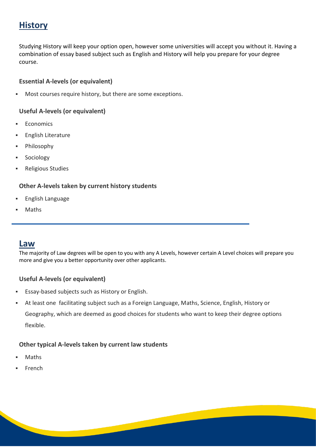### **History**

Studying History will keep your option open, however some universities will accept you without it. Having a combination of essay based subject such as English and History will help you prepare for your degree course.

### **Essential A-levels (or equivalent)**

Most courses require history, but there are some exceptions.

### **Useful A-levels (or equivalent)**

- **Economics**
- English Literature
- Philosophy
- **■** Sociology
- **Religious Studies**

### **Other A-levels taken by current history students**

- **English Language**
- **Maths**

### **Law**

The majority of Law degrees will be open to you with any A Levels, however certain A Level choices will prepare you more and give you a better opportunity over other applicants.

### **Useful A-levels (or equivalent)**

- Essay-based subjects such as History or English.
- At least one facilitating subject such as a Foreign Language, Maths, Science, English, History or Geography, which are deemed as good choices for students who want to keep their degree options flexible.

**Contract Contract Contract Contract Contract Contract Contract Contract Contract Contract Contract Contract Contract Contract Contract Contract Contract Contract Contract Contract Contract Contract Contract Contract Contr** 

15

### **Other typical A-levels taken by current law students**

- **Maths**
- **French**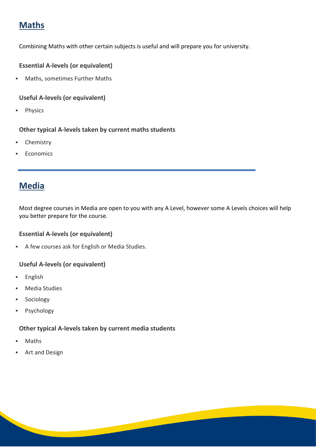### **Maths**

Combining Maths with other certain subjects is useful and will prepare you for university.

### **Essential A-levels (or equivalent)**

▪ Maths, sometimes Further Maths

### **Useful A-levels (or equivalent)**

**Physics** 

#### **Other typical A-levels taken by current maths students**

- Chemistry
- **Economics**

### **Media**

Most degree courses in Media are open to you with any A Level, however some A Levels choices will help you better prepare for the course.

**Contract Contract Contract Contract Contract Contract Contract Contract Contract Contract Contract Contract Contract Contract Contract Contract Contract Contract Contract Contract Contract Contract Contract Contract Contr** 

16

#### **Essential A-levels (or equivalent)**

**EXEL A few courses ask for English or Media Studies.** 

### **Useful A-levels (or equivalent)**

- **English**
- Media Studies
- Sociology
- **Psychology**

#### **Other typical A-levels taken by current media students**

- **Maths**
- Art and Design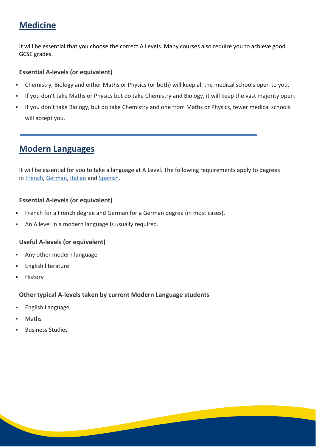### **Medicine**

It will be essential that you choose the correct A Levels. Many courses also require you to achieve good GCSE grades.

### **Essential A-levels (or equivalent)**

- Chemistry, Biology and either Maths or Physics (or both) will keep all the medical schools open to you.
- If you don't take Maths or Physics but do take Chemistry and Biology, it will keep the vast majority open.
- If you don't take Biology, but do take Chemistry and one from Maths or Physics, fewer medical schools will accept you.

### **Modern Languages**

It will be essential for you to take a language at A Level. The following requirements apply to degrees in [French,](http://university.which.co.uk/subjects/french) [German,](http://university.which.co.uk/subjects/german) [Italian](http://university.which.co.uk/search/course?utf8=%E2%9C%93&c%5Bq%5D=italian&commit=Go&c%5Bsort_fact%5D=relevance) and [Spanish.](http://university.which.co.uk/subjects/spanish)

**Contract Contract Contract Contract Contract Contract Contract Contract Contract Contract Contract Contract Contract Contract Contract Contract Contract Contract Contract Contract Contract Contract Contract Contract Contr** 

17

### **Essential A-levels (or equivalent)**

- French for a French degree and German for a German degree (in most cases).
- An A level in a modern language is usually required.

### **Useful A-levels (or equivalent)**

- Any other modern language
- **English literature**
- **History**

### **Other typical A-levels taken by current Modern Language students**

- **English Language**
- **Maths**
- **Business Studies**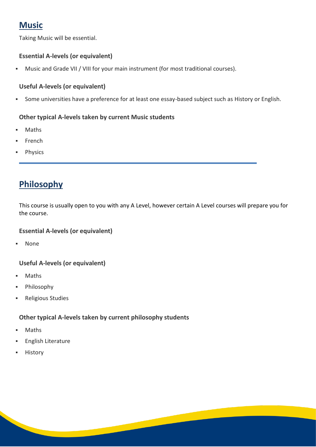# **Music**

Taking Music will be essential.

### **Essential A-levels (or equivalent)**

▪ Music and Grade VII / VIII for your main instrument (for most traditional courses).

### **Useful A-levels (or equivalent)**

**•** Some universities have a preference for at least one essay-based subject such as History or English.

### **Other typical A-levels taken by current Music students**

- **Maths**
- **French**
- **Physics**

### **Philosophy**

This course is usually open to you with any A Level, however certain A Level courses will prepare you for the course.

**Contract Contract Contract Contract Contract Contract Contract Contract Contract Contract Contract Contract Contract Contract Contract Contract Contract Contract Contract Contract Contract Contract Contract Contract Contr** 

18

### **Essential A-levels (or equivalent)**

**None** 

### **Useful A-levels (or equivalent)**

- **Maths**
- Philosophy
- **Religious Studies**

### **Other typical A-levels taken by current philosophy students**

- **Maths**
- **English Literature**
- **History**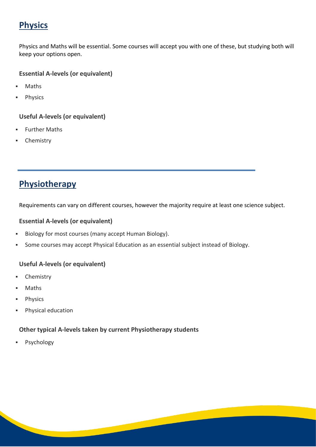### **Physics**

Physics and Maths will be essential. Some courses will accept you with one of these, but studying both will keep your options open.

### **Essential A-levels (or equivalent)**

- **Maths**
- **Physics**

### **Useful A-levels (or equivalent)**

- **Further Maths**
- Chemistry

### **Physiotherapy**

Requirements can vary on different courses, however the majority require at least one science subject.

**Contract Contract Contract Contract Contract Contract Contract Contract Contract Contract Contract Contract Contract Contract Contract Contract Contract Contract Contract Contract Contract Contract Contract Contract Contr** 

19

#### **Essential A-levels (or equivalent)**

- Biology for most courses (many accept Human Biology).
- **Some courses may accept Physical Education as an essential subject instead of Biology.**

#### **Useful A-levels (or equivalent)**

- Chemistry
- **Maths**
- **Physics**
- Physical education

#### **Other typical A-levels taken by current Physiotherapy students**

Psychology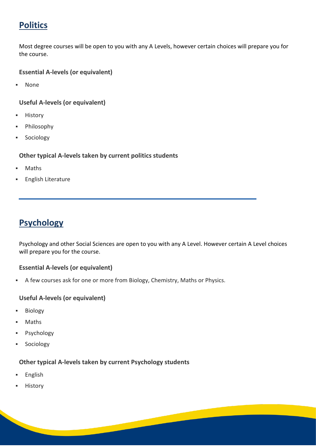### **Politics**

Most degree courses will be open to you with any A Levels, however certain choices will prepare you for the course.

### **Essential A-levels (or equivalent)**

**None** 

### **Useful A-levels (or equivalent)**

- **History**
- Philosophy
- **•** Sociology

### **Other typical A-levels taken by current politics students**

- **Maths**
- **English Literature**

### **Psychology**

Psychology and other Social Sciences are open to you with any A Level. However certain A Level choices will prepare you for the course.

<u> De Santa Carlos de Santa Carlos de Santa Carlos de Santa Carlos de Santa Carlos de Santa Carlos de Santa Carlos de Santa Carlos de Santa Carlos de Santa Carlos de Santa Carlos de Santa Carlos de Santa Carlos de Santa Car</u>

20

### **Essential A-levels (or equivalent)**

▪ A few courses ask for one or more from Biology, Chemistry, Maths or Physics.

### **Useful A-levels (or equivalent)**

- Biology
- **Maths**
- Psychology
- Sociology

### **Other typical A-levels taken by current Psychology students**

- **English**
- **History**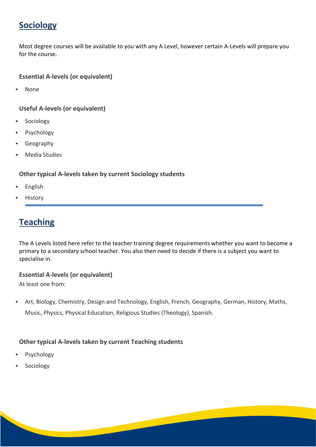### **Sociology**

Most degree courses will be available to you with any A Level, however certain A-Levels will prepare you for the course.

### **Essential A-levels (or equivalent)**

**None** 

**Useful A-levels (or equivalent)**

- Sociology
- Psychology
- Geography
- **Media Studies**

### **Other typical A-levels taken by current Sociology students**

- **English**
- **History**

### **Teaching**

The A Levels listed here refer to the teacher training degree requirements whether you want to become a primary to a secondary school teacher. You also then need to decide if there is a subject you want to specialise in.

#### **Essential A-levels (or equivalent)**

At least one from:

Art, Biology, Chemistry, Design and Technology, English, French, Geography, German, History, Maths, Music, Physics, Physical Education, Religious Studies (Theology), Spanish.

**Contract Contract Contract Contract Contract Contract Contract Contract Contract Contract Contract Contract Contract Contract Contract Contract Contract Contract Contract Contract Contract Contract Contract Contract Contr** 

21

### **Other typical A-levels taken by current Teaching students**

- **Psychology**
- Sociology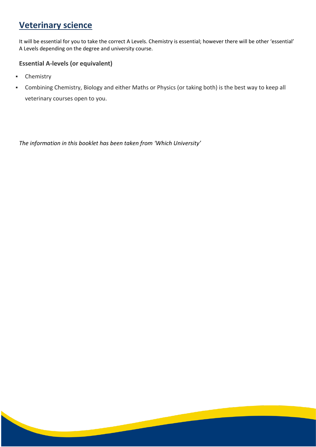### **Veterinary science**

It will be essential for you to take the correct A Levels. Chemistry is essential; however there will be other 'essential' A Levels depending on the degree and university course.

### **Essential A-levels (or equivalent)**

- Chemistry
- Combining Chemistry, Biology and either Maths or Physics (or taking both) is the best way to keep all veterinary courses open to you.

22

<u> De Santa Carlos de Santa Carlos de Santa Carlos de Santa Carlos de Santa Carlos de Santa Carlos de Santa Carlos de Santa Carlos de Santa Carlos de Santa Carlos de Santa Carlos de Santa Carlos de Santa Carlos de Santa Car</u>

*The information in this booklet has been taken from 'Which University'*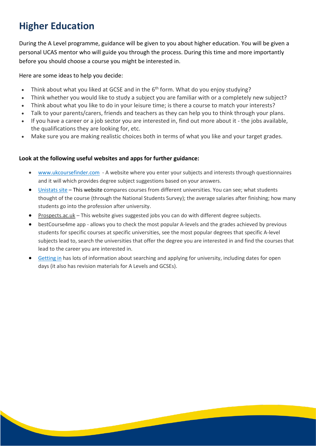# **Higher Education**

During the A Level programme, guidance will be given to you about higher education. You will be given a personal UCAS mentor who will guide you through the process. During this time and more importantly before you should choose a course you might be interested in.

Here are some ideas to help you decide:

- Think about what you liked at GCSE and in the 6<sup>th</sup> form. What do you enjoy studying?
- Think whether you would like to study a subject you are familiar with or a completely new subject?
- Think about what you like to do in your leisure time; is there a course to match your interests?
- Talk to your parents/carers, friends and teachers as they can help you to think through your plans.
- If you have a career or a job sector you are interested in, find out more about it the jobs available, the qualifications they are looking for, etc.
- Make sure you are making realistic choices both in terms of what you like and your target grades.

#### **Look at the following useful websites and apps for further guidance:**

- [www.ukcoursefinder.com](http://www.ukcoursefinder.com/) A website where you enter your subjects and interests through questionnaires and it will which provides degree subject suggestions based on your answers.
- [Unistats site](http://unistats.direct.gov.uk/) This website compares courses from different universities. You can see; what students thought of the course (through the National Students Survey); the average salaries after finishing; how many students go into the profession after university.
- Prospects.ac.uk This website gives suggested jobs you can do with different degree subjects.
- bestCourse4me app allows you to check the most popular A-levels and the grades achieved by previous students for specific courses at specific universities, see the most popular degrees that specific A-level subjects lead to, search the universities that offer the degree you are interested in and find the courses that lead to the career you are interested in.

**Contract Contract Contract Contract Contract Contract Contract Contract Contract Contract Contract Contract Co** 

23

• [Getting in](http://www.getting-in.com/) has lots of information about searching and applying for university, including dates for open days (it also has revision materials for A Levels and GCSEs).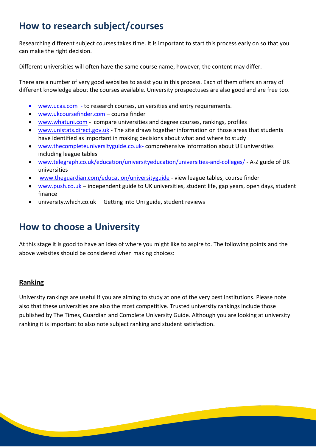# **How to research subject/courses**

Researching different subject courses takes time. It is important to start this process early on so that you can make the right decision.

Different universities will often have the same course name, however, the content may differ.

There are a number of very good websites to assist you in this process. Each of them offers an array of different knowledge about the courses available. University prospectuses are also good and are free too.

- www.ucas.com to research courses, universities and entry requirements.
- www.ukcoursefinder.com course finder
- [www.whatuni.com](http://www.whatuni.com/) compare universities and degree courses, rankings, profiles
- [www.unistats.direct.gov.uk](http://www.unistats.direct.gov.uk/) The site draws together information on those areas that students have identified as important in making decisions about what and where to study
- [www.thecompleteuniversityguide.co.uk-](http://www.thecompleteuniversityguide.co.uk-/) comprehensive information about UK universities including league tables
- [www.telegraph.co.uk/education/universityeducation/universities-and-colleges/](http://www.telegraph.co.uk/education/universityeducation/universities-and-colleges/) A-Z guide of UK universities
- [www.theguardian.com/education/universityguide](http://www.theguardian.com/education/universityguide) view league tables, course finder
- [www.push.co.uk](http://www.push.co.uk/) independent guide to UK universities, student life, gap years, open days, student finance
- university.which.co.uk Getting into Uni guide, student reviews

# **How to choose a University**

At this stage it is good to have an idea of where you might like to aspire to. The following points and the above websites should be considered when making choices:

### **Ranking**

University rankings are useful if you are aiming to study at one of the very best institutions. Please note also that these universities are also the most competitive. Trusted university rankings include those published by The Times, Guardian and Complete University Guide. Although you are looking at university ranking it is important to also note subject ranking and student satisfaction.

**Contract Contract Contract Contract Contract Contract Contract Contract Contract Contract Contract Contract Contract Contract Contract Contract Contract Contract Contract Contract Contract Contract Contract Contract Contr**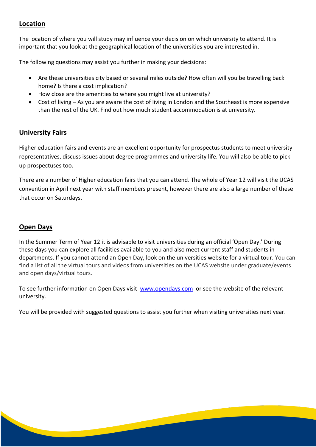### **Location**

The location of where you will study may influence your decision on which university to attend. It is important that you look at the geographical location of the universities you are interested in.

The following questions may assist you further in making your decisions:

- Are these universities city based or several miles outside? How often will you be travelling back home? Is there a cost implication?
- How close are the amenities to where you might live at university?
- Cost of living As you are aware the cost of living in London and the Southeast is more expensive than the rest of the UK. Find out how much student accommodation is at university.

### **University Fairs**

Higher education fairs and events are an excellent opportunity for prospectus students to meet university representatives, discuss issues about degree programmes and university life. You will also be able to pick up prospectuses too.

There are a number of Higher education fairs that you can attend. The whole of Year 12 will visit the UCAS convention in April next year with staff members present, however there are also a large number of these that occur on Saturdays.

### **Open Days**

In the Summer Term of Year 12 it is advisable to visit universities during an official 'Open Day.' During these days you can explore all facilities available to you and also meet current staff and students in departments. If you cannot attend an Open Day, look on the universities website for a virtual tour. You can find a list of all the virtual tours and videos from universities on the UCAS website under graduate/events and open days/virtual tours.

To see further information on Open Days visit [www.opendays.com](http://www.opendays.com/) or see the website of the relevant university.

You will be provided with suggested questions to assist you further when visiting universities next year.

**Contract Contract Contract Contract Contract Contract Contract Contract Contract Contract Contract Contract Contract Contract Contract Contract Contract Contract Contract Contract Contract Contract Contract Contract Contr**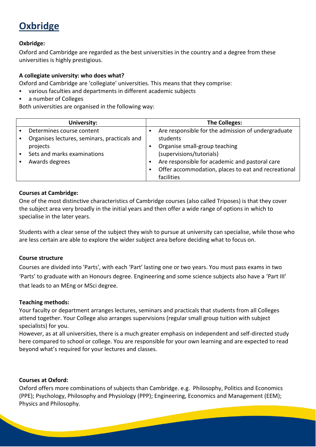# **Oxbridge**

### **Oxbridge:**

Oxford and Cambridge are regarded as the best universities in the country and a degree from these universities is highly prestigious.

### **A collegiate university: who does what?**

Oxford and Cambridge are 'collegiate' universities. This means that they comprise:

- various faculties and departments in different academic subjects
- a number of Colleges

Both universities are organised in the following way:

| <b>University:</b>                           |   | <b>The Colleges:</b>                                |
|----------------------------------------------|---|-----------------------------------------------------|
| Determines course content                    | ■ | Are responsible for the admission of undergraduate  |
| Organises lectures, seminars, practicals and |   | students                                            |
| projects                                     |   | Organise small-group teaching                       |
| Sets and marks examinations                  |   | (supervisions/tutorials)                            |
| Awards degrees                               | ٠ | Are responsible for academic and pastoral care      |
|                                              | ٠ | Offer accommodation, places to eat and recreational |
|                                              |   | facilities                                          |

#### **Courses at Cambridge:**

One of the most distinctive characteristics of Cambridge courses (also called Triposes) is that they cover the subject area very broadly in the initial years and then offer a wide range of options in which to specialise in the later years.

Students with a clear sense of the subject they wish to pursue at university can specialise, while those who are less certain are able to explore the wider subject area before deciding what to focus on.

#### **Course structure**

Courses are divided into 'Parts', with each 'Part' lasting one or two years. You must pass exams in two 'Parts' to graduate with an Honours degree. Engineering and some science subjects also have a 'Part III' that leads to an MEng or MSci degree.

#### **Teaching methods:**

Your faculty or department arranges lectures, seminars and practicals that students from all Colleges attend together. Your College also arranges supervisions (regular small group tuition with subject specialists) for you.

However, as at all universities, there is a much greater emphasis on independent and self-directed study here compared to school or college. You are responsible for your own learning and are expected to read beyond what's required for your lectures and classes.

#### **Courses at Oxford:**

Oxford offers more combinations of subjects than Cambridge. e.g. Philosophy, Politics and Economics (PPE); Psychology, Philosophy and Physiology (PPP); Engineering, Economics and Management (EEM); Physics and Philosophy.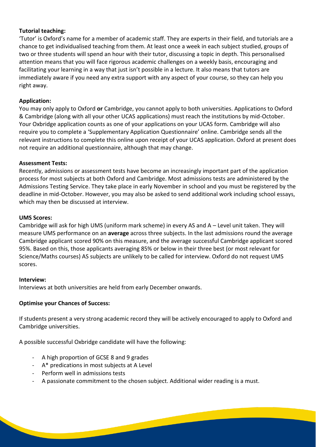#### **Tutorial teaching:**

'Tutor' is Oxford's name for a member of academic staff. They are experts in their field, and tutorials are a chance to get individualised teaching from them. At least once a week in each subject studied, groups of two or three students will spend an hour with their tutor, discussing a topic in depth. This personalised attention means that you will face rigorous academic challenges on a weekly basis, encouraging and facilitating your learning in a way that just isn't possible in a lecture. It also means that tutors are immediately aware if you need any extra support with any aspect of your course, so they can help you right away.

#### **Application:**

You may only apply to Oxford **or** Cambridge, you cannot apply to both universities. Applications to Oxford & Cambridge (along with all your other UCAS applications) must reach the institutions by mid-October. Your Oxbridge application counts as one of your applications on your UCAS form. Cambridge will also require you to complete a 'Supplementary Application Questionnaire' online. Cambridge sends all the relevant instructions to complete this online upon receipt of your UCAS application. Oxford at present does not require an additional questionnaire, although that may change.

#### **Assessment Tests:**

Recently, admissions or assessment tests have become an increasingly important part of the application process for most subjects at both Oxford and Cambridge. Most admissions tests are administered by the Admissions Testing Service. They take place in early November in school and you must be registered by the deadline in mid-October. However, you may also be asked to send additional work including [school essays,](http://www.undergraduate.study.cam.ac.uk/applying/admissions-tests/written-work-and-essays) which may then be discussed at interview.

#### **UMS Scores:**

Cambridge will ask for high UMS (uniform mark scheme) in every AS and A – Level unit taken. They will measure UMS performance on an **average** across three subjects. In the last admissions round the average Cambridge applicant scored 90% on this measure, and the average successful Cambridge applicant scored 95%. Based on this, those applicants averaging 85% or below in their three best (or most relevant for Science/Maths courses) AS subjects are unlikely to be called for interview. Oxford do not request UMS scores.

#### **Interview:**

Interviews at both universities are held from early December onwards.

#### **Optimise your Chances of Success:**

If students present a very strong academic record they will be actively encouraged to apply to Oxford and Cambridge universities.

A possible successful Oxbridge candidate will have the following:

- A high proportion of GCSE 8 and 9 grades
- A\* predications in most subjects at A Level
- Perform well in admissions tests
- A passionate commitment to the chosen subject. Additional wider reading is a must.

**Contract Contract Contract Contract**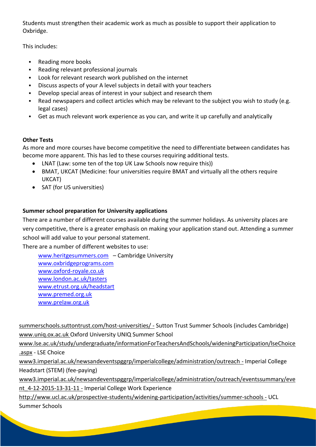Students must strengthen their academic work as much as possible to support their application to Oxbridge.

This includes:

- Reading more books
- Reading relevant professional journals
- Look for relevant research work published on the internet
- Discuss aspects of your A level subjects in detail with your teachers
- Develop special areas of interest in your subject and research them
- Read newspapers and collect articles which may be relevant to the subject you wish to study (e.g. legal cases)
- Get as much relevant work experience as you can, and write it up carefully and analytically

### **Other Tests**

As more and more courses have become competitive the need to differentiate between candidates has become more apparent. This has led to these courses requiring additional tests.

- LNAT (Law: some ten of the top UK Law Schools now require this))
- BMAT, UKCAT (Medicine: four universities require BMAT and virtually all the others require UKCAT)
- SAT (for US universities)

### **Summer school preparation for University applications**

There are a number of different courses available during the summer holidays. As university places are very competitive, there is a greater emphasis on making your application stand out. Attending a summer school will add value to your personal statement.

There are a number of different websites to use:

[www.heritgesummers.com](http://www.heritgesummers.com/) – Cambridge University [www.oxbridgeprograms.com](http://www.oxbridgeprograms.com/)  [www.oxford-royale.co.uk](http://www.oxford-royale.co.uk/) [www.london.ac.uk/tasters](http://www.london.ac.uk/tasters) [www.etrust.org.uk/headstart](http://www.etrust.org.uk/headstart) [www.premed.org.uk](http://www.premed.org.uk/) [www.prelaw.org.uk](http://www.prelaw.org.uk/)

[summerschools.suttontrust.com/host-universities/](http://summerschools.suttontrust.com/host-universities/) - Sutton Trust Summer Schools (includes Cambridge) [www.uniq.ox.ac.uk](http://www.uniq.ox.ac.uk/) Oxford University UNIQ Summer School

[www.lse.ac.uk/study/undergraduate/informationForTeachersAndSchools/wideningParticipation/lseChoice](http://www.lse.ac.uk/study/undergraduate/informationForTeachersAndSchools/wideningParticipation/lseChoice.aspx) [.aspx](http://www.lse.ac.uk/study/undergraduate/informationForTeachersAndSchools/wideningParticipation/lseChoice.aspx) - LSE Choice

[www3.imperial.ac.uk/newsandeventspggrp/imperialcollege/administration/outreach](http://www3.imperial.ac.uk/newsandeventspggrp/imperialcollege/administration/outreach/eventssummary/event_21-12-2015-16-45-21) - Imperial College Headstart (STEM) (fee-paying)

[www3.imperial.ac.uk/newsandeventspggrp/imperialcollege/administration/outreach/eventssummary/eve](http://www3.imperial.ac.uk/newsandeventspggrp/imperialcollege/administration/outreach/eventssummary/event_4-12-2015-13-31-11)

28

[nt\\_4-12-2015-13-31-11](http://www3.imperial.ac.uk/newsandeventspggrp/imperialcollege/administration/outreach/eventssummary/event_4-12-2015-13-31-11) - Imperial College Work Experience

<http://www.ucl.ac.uk/prospective-students/widening-participation/activities/summer-schools> - UCL Summer Schools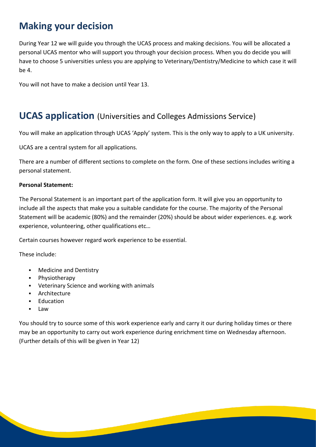# **Making your decision**

During Year 12 we will guide you through the UCAS process and making decisions. You will be allocated a personal UCAS mentor who will support you through your decision process. When you do decide you will have to choose 5 universities unless you are applying to Veterinary/Dentistry/Medicine to which case it will be 4.

You will not have to make a decision until Year 13.

### **UCAS application** (Universities and Colleges Admissions Service)

You will make an application through UCAS 'Apply' system. This is the only way to apply to a UK university.

UCAS are a central system for all applications.

There are a number of different sections to complete on the form. One of these sections includes writing a personal statement.

#### **Personal Statement:**

The Personal Statement is an important part of the application form. It will give you an opportunity to include all the aspects that make you a suitable candidate for the course. The majority of the Personal Statement will be academic (80%) and the remainder (20%) should be about wider experiences. e.g. work experience, volunteering, other qualifications etc…

Certain courses however regard work experience to be essential.

These include:

- **Medicine and Dentistry**
- Physiotherapy
- Veterinary Science and working with animals
- Architecture
- **Education**
- **Law**

You should try to source some of this work experience early and carry it our during holiday times or there may be an opportunity to carry out work experience during enrichment time on Wednesday afternoon. (Further details of this will be given in Year 12)

**Contract Contract Contract Contract Contract Contract Contract Contract Contract Contract Contract Contract Contract Contract Contract Contract Contract Contract Contract Contract Contract Contract Contract Contract Contr**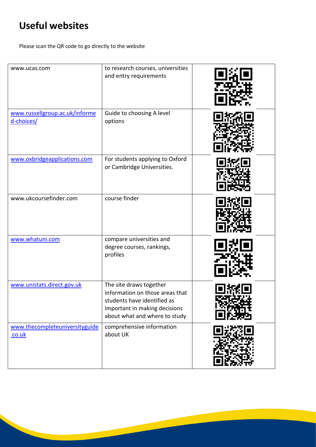# **Useful websites**

Please scan the QR code to go directly to the website

| www.ucas.com                                 | to research courses, universities<br>and entry requirements                                                                                                 |  |
|----------------------------------------------|-------------------------------------------------------------------------------------------------------------------------------------------------------------|--|
| www.russellgroup.ac.uk/informe<br>d-choices/ | Guide to choosing A level<br>options                                                                                                                        |  |
| www.oxbridgeapplications.com                 | For students applying to Oxford<br>or Cambridge Universities.                                                                                               |  |
| www.ukcoursefinder.com                       | course finder                                                                                                                                               |  |
| www.whatuni.com                              | compare universities and<br>degree courses, rankings,<br>profiles                                                                                           |  |
| www.unistats.direct.gov.uk                   | The site draws together<br>information on those areas that<br>students have identified as<br>important in making decisions<br>about what and where to study |  |
| www.thecompleteuniversityguide<br>.co.uk     | comprehensive information<br>about UK                                                                                                                       |  |

 $\mathcal{L}^{\text{max}}_{\text{max}}$ 

30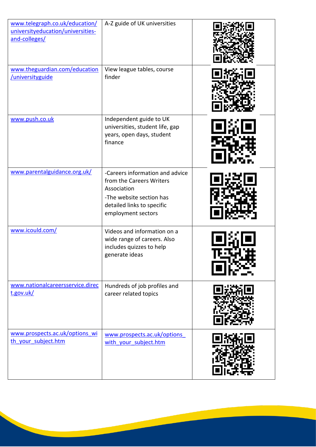| www.telegraph.co.uk/education/<br>universityeducation/universities-<br>and-colleges/ | A-Z guide of UK universities                                                                                                                               |  |
|--------------------------------------------------------------------------------------|------------------------------------------------------------------------------------------------------------------------------------------------------------|--|
| www.theguardian.com/education<br>/universityguide                                    | View league tables, course<br>finder                                                                                                                       |  |
| www.push.co.uk                                                                       | Independent guide to UK<br>universities, student life, gap<br>years, open days, student<br>finance                                                         |  |
| www.parentalguidance.org.uk/                                                         | -Careers information and advice<br>from the Careers Writers<br>Association<br>-The website section has<br>detailed links to specific<br>employment sectors |  |
| www.icould.com/                                                                      | Videos and information on a<br>wide range of careers. Also<br>includes quizzes to help<br>generate ideas                                                   |  |
| www.nationalcareersservice.direc<br>t.gov.uk/                                        | Hundreds of job profiles and<br>career related topics                                                                                                      |  |
| www.prospects.ac.uk/options wi<br>th your subject.htm                                | www.prospects.ac.uk/options<br>with your subject.htm                                                                                                       |  |

**Contract Contract Contract Contract Contract Contract Contract Contract Contract Contract Contract Contract Contract Contract Contract Contract Contract Contract Contract Contract Contract Contract Contract Contract Contr**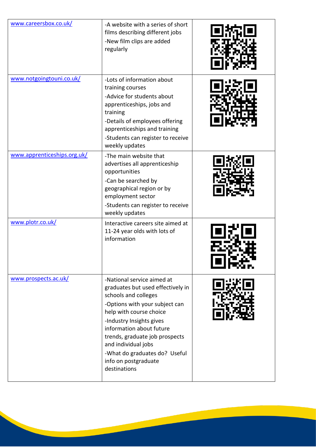| www.careersbox.co.uk/       | -A website with a series of short<br>films describing different jobs<br>-New film clips are added<br>regularly                                                                                                                                                                                                                                 |  |
|-----------------------------|------------------------------------------------------------------------------------------------------------------------------------------------------------------------------------------------------------------------------------------------------------------------------------------------------------------------------------------------|--|
| www.notgoingtouni.co.uk/    | -Lots of information about<br>training courses<br>-Advice for students about<br>apprenticeships, jobs and<br>training<br>-Details of employees offering<br>apprenticeships and training<br>-Students can register to receive<br>weekly updates                                                                                                 |  |
| www.apprenticeships.org.uk/ | -The main website that<br>advertises all apprenticeship<br>opportunities<br>-Can be searched by<br>geographical region or by<br>employment sector<br>-Students can register to receive<br>weekly updates                                                                                                                                       |  |
| www.plotr.co.uk/            | Interactive careers site aimed at<br>11-24 year olds with lots of<br>information                                                                                                                                                                                                                                                               |  |
| www.prospects.ac.uk/        | -National service aimed at<br>graduates but used effectively in<br>schools and colleges<br>-Options with your subject can<br>help with course choice<br>-Industry Insights gives<br>information about future<br>trends, graduate job prospects<br>and individual jobs<br>-What do graduates do? Useful<br>info on postgraduate<br>destinations |  |

**Contract Contract Contract Contract Contract Contract Contract Contract Contract Contract Contract Contract Contract Contract Contract Contract Contract Contract Contract Contract Contract Contract Contract Contract Contr**